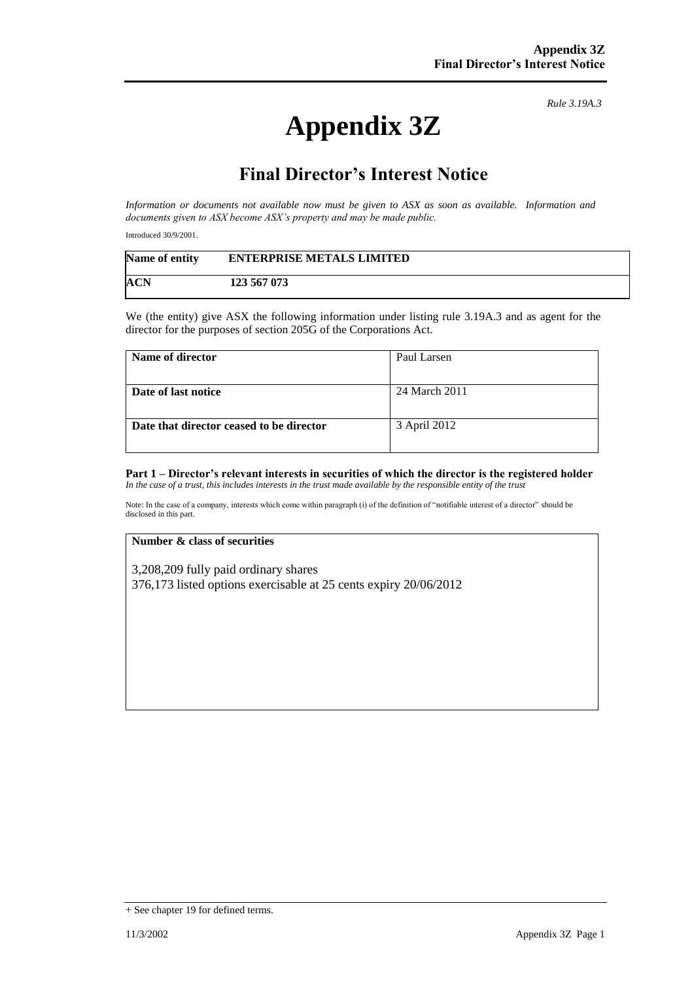# **Appendix 3Z**

*Rule 3.19A.3*

## **Final Director's Interest Notice**

*Information or documents not available now must be given to ASX as soon as available. Information and documents given to ASX become ASX's property and may be made public.*

Introduced 30/9/2001.

| Name of entity | <b>ENTERPRISE METALS LIMITED</b> |  |
|----------------|----------------------------------|--|
| ACN            | 123 567 073                      |  |

We (the entity) give ASX the following information under listing rule 3.19A.3 and as agent for the director for the purposes of section 205G of the Corporations Act.

| Name of director                         | Paul Larsen   |
|------------------------------------------|---------------|
| Date of last notice                      | 24 March 2011 |
| Date that director ceased to be director | 3 April 2012  |

#### **Part 1 – Director's relevant interests in securities of which the director is the registered holder** *In the case of a trust, this includes interests in the trust made available by the responsible entity of the trust*

Note: In the case of a company, interests which come within paragraph (i) of the definition of "notifiable interest of a director" should be disclosed in this part.

#### **Number & class of securities**

3,208,209 fully paid ordinary shares 376,173 listed options exercisable at 25 cents expiry 20/06/2012

<sup>+</sup> See chapter 19 for defined terms.